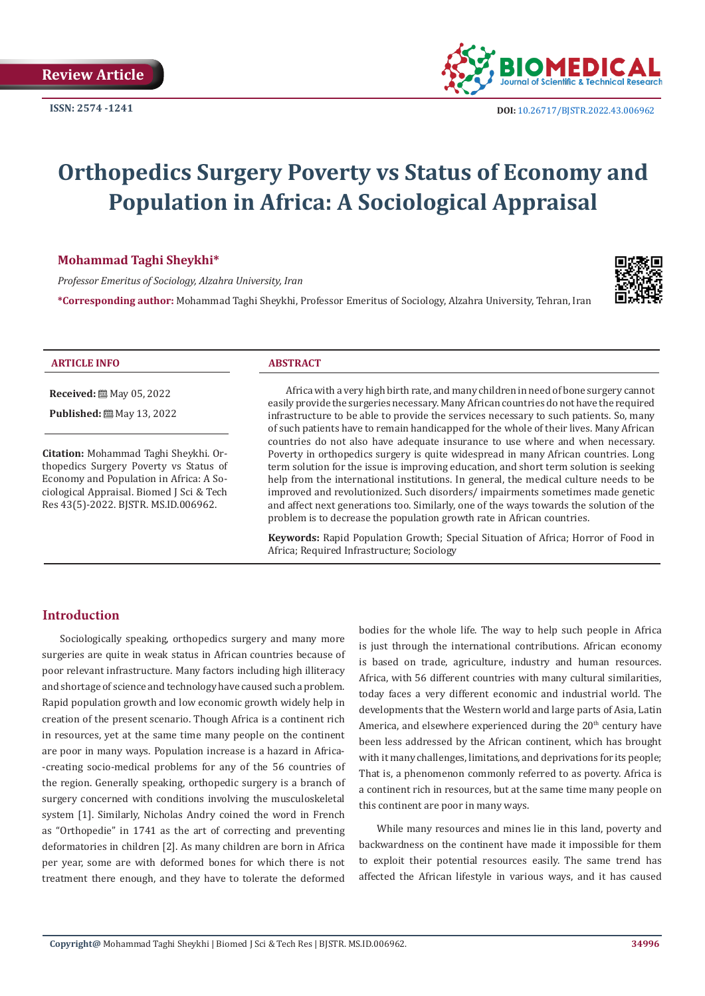

# **Orthopedics Surgery Poverty vs Status of Economy and Population in Africa: A Sociological Appraisal**

# **Mohammad Taghi Sheykhi\***

*Professor Emeritus of Sociology, Alzahra University, Iran* 

**\*Corresponding author:** Mohammad Taghi Sheykhi, Professor Emeritus of Sociology, Alzahra University, Tehran, Iran



| <b>INFO</b><br>.<br>АK | $A$ $QCD$<br>$\mathbf{v}$ |
|------------------------|---------------------------|
|                        |                           |

**Received:** ■ May 05, 2022

**Published:** ■ May 13, 2022

**Citation:** Mohammad Taghi Sheykhi. Orthopedics Surgery Poverty vs Status of Economy and Population in Africa: A Sociological Appraisal. Biomed J Sci & Tech Res 43(5)-2022. BJSTR. MS.ID.006962.

Africa with a very high birth rate, and many children in need of bone surgery cannot easily provide the surgeries necessary. Many African countries do not have the required infrastructure to be able to provide the services necessary to such patients. So, many of such patients have to remain handicapped for the whole of their lives. Many African countries do not also have adequate insurance to use where and when necessary. Poverty in orthopedics surgery is quite widespread in many African countries. Long term solution for the issue is improving education, and short term solution is seeking help from the international institutions. In general, the medical culture needs to be improved and revolutionized. Such disorders/ impairments sometimes made genetic and affect next generations too. Similarly, one of the ways towards the solution of the problem is to decrease the population growth rate in African countries.

**Keywords:** Rapid Population Growth; Special Situation of Africa; Horror of Food in Africa; Required Infrastructure; Sociology

# **Introduction**

Sociologically speaking, orthopedics surgery and many more surgeries are quite in weak status in African countries because of poor relevant infrastructure. Many factors including high illiteracy and shortage of science and technology have caused such a problem. Rapid population growth and low economic growth widely help in creation of the present scenario. Though Africa is a continent rich in resources, yet at the same time many people on the continent are poor in many ways. Population increase is a hazard in Africa- -creating socio-medical problems for any of the 56 countries of the region. Generally speaking, orthopedic surgery is a branch of surgery concerned with conditions involving the musculoskeletal system [1]. Similarly, Nicholas Andry coined the word in French as "Orthopedie" in 1741 as the art of correcting and preventing deformatories in children [2]. As many children are born in Africa per year, some are with deformed bones for which there is not treatment there enough, and they have to tolerate the deformed

bodies for the whole life. The way to help such people in Africa is just through the international contributions. African economy is based on trade, agriculture, industry and human resources. Africa, with 56 different countries with many cultural similarities, today faces a very different economic and industrial world. The developments that the Western world and large parts of Asia, Latin America, and elsewhere experienced during the  $20<sup>th</sup>$  century have been less addressed by the African continent, which has brought with it many challenges, limitations, and deprivations for its people; That is, a phenomenon commonly referred to as poverty. Africa is a continent rich in resources, but at the same time many people on this continent are poor in many ways.

While many resources and mines lie in this land, poverty and backwardness on the continent have made it impossible for them to exploit their potential resources easily. The same trend has affected the African lifestyle in various ways, and it has caused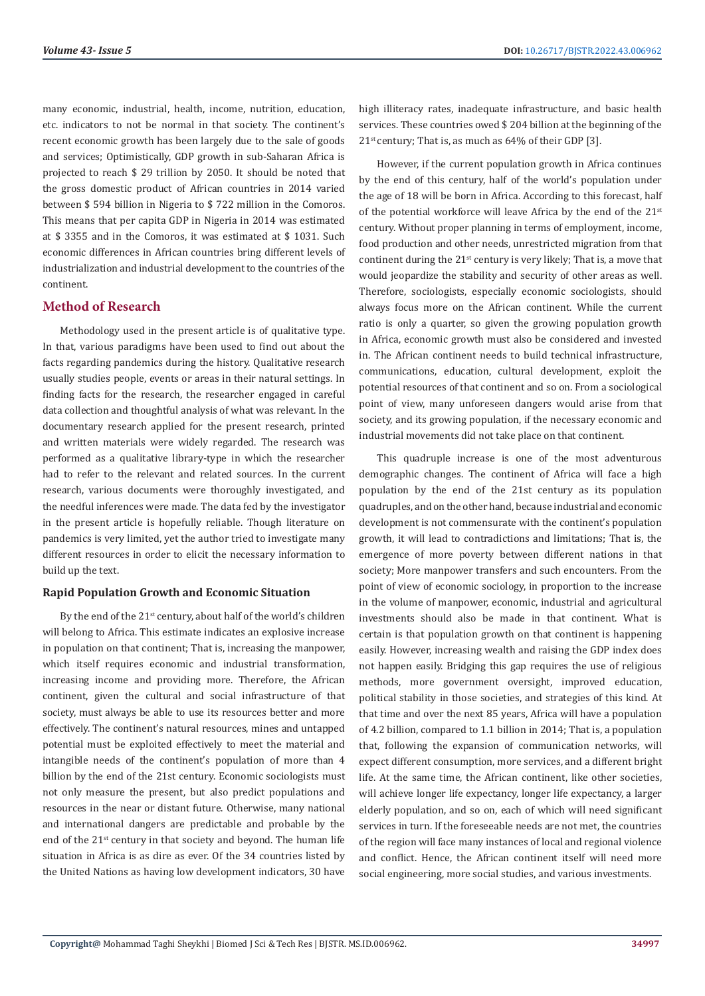many economic, industrial, health, income, nutrition, education, etc. indicators to not be normal in that society. The continent's recent economic growth has been largely due to the sale of goods and services; Optimistically, GDP growth in sub-Saharan Africa is projected to reach \$ 29 trillion by 2050. It should be noted that the gross domestic product of African countries in 2014 varied between \$ 594 billion in Nigeria to \$ 722 million in the Comoros. This means that per capita GDP in Nigeria in 2014 was estimated at \$ 3355 and in the Comoros, it was estimated at \$ 1031. Such economic differences in African countries bring different levels of industrialization and industrial development to the countries of the continent.

# **Method of Research**

Methodology used in the present article is of qualitative type. In that, various paradigms have been used to find out about the facts regarding pandemics during the history. Qualitative research usually studies people, events or areas in their natural settings. In finding facts for the research, the researcher engaged in careful data collection and thoughtful analysis of what was relevant. In the documentary research applied for the present research, printed and written materials were widely regarded. The research was performed as a qualitative library-type in which the researcher had to refer to the relevant and related sources. In the current research, various documents were thoroughly investigated, and the needful inferences were made. The data fed by the investigator in the present article is hopefully reliable. Though literature on pandemics is very limited, yet the author tried to investigate many different resources in order to elicit the necessary information to build up the text.

# **Rapid Population Growth and Economic Situation**

By the end of the  $21^{st}$  century, about half of the world's children will belong to Africa. This estimate indicates an explosive increase in population on that continent; That is, increasing the manpower, which itself requires economic and industrial transformation, increasing income and providing more. Therefore, the African continent, given the cultural and social infrastructure of that society, must always be able to use its resources better and more effectively. The continent's natural resources, mines and untapped potential must be exploited effectively to meet the material and intangible needs of the continent's population of more than 4 billion by the end of the 21st century. Economic sociologists must not only measure the present, but also predict populations and resources in the near or distant future. Otherwise, many national and international dangers are predictable and probable by the end of the 21st century in that society and beyond. The human life situation in Africa is as dire as ever. Of the 34 countries listed by the United Nations as having low development indicators, 30 have high illiteracy rates, inadequate infrastructure, and basic health services. These countries owed \$ 204 billion at the beginning of the 21st century; That is, as much as 64% of their GDP [3].

However, if the current population growth in Africa continues by the end of this century, half of the world's population under the age of 18 will be born in Africa. According to this forecast, half of the potential workforce will leave Africa by the end of the 21<sup>st</sup> century. Without proper planning in terms of employment, income, food production and other needs, unrestricted migration from that continent during the  $21^{st}$  century is very likely; That is, a move that would jeopardize the stability and security of other areas as well. Therefore, sociologists, especially economic sociologists, should always focus more on the African continent. While the current ratio is only a quarter, so given the growing population growth in Africa, economic growth must also be considered and invested in. The African continent needs to build technical infrastructure, communications, education, cultural development, exploit the potential resources of that continent and so on. From a sociological point of view, many unforeseen dangers would arise from that society, and its growing population, if the necessary economic and industrial movements did not take place on that continent.

This quadruple increase is one of the most adventurous demographic changes. The continent of Africa will face a high population by the end of the 21st century as its population quadruples, and on the other hand, because industrial and economic development is not commensurate with the continent's population growth, it will lead to contradictions and limitations; That is, the emergence of more poverty between different nations in that society; More manpower transfers and such encounters. From the point of view of economic sociology, in proportion to the increase in the volume of manpower, economic, industrial and agricultural investments should also be made in that continent. What is certain is that population growth on that continent is happening easily. However, increasing wealth and raising the GDP index does not happen easily. Bridging this gap requires the use of religious methods, more government oversight, improved education, political stability in those societies, and strategies of this kind. At that time and over the next 85 years, Africa will have a population of 4.2 billion, compared to 1.1 billion in 2014; That is, a population that, following the expansion of communication networks, will expect different consumption, more services, and a different bright life. At the same time, the African continent, like other societies, will achieve longer life expectancy, longer life expectancy, a larger elderly population, and so on, each of which will need significant services in turn. If the foreseeable needs are not met, the countries of the region will face many instances of local and regional violence and conflict. Hence, the African continent itself will need more social engineering, more social studies, and various investments.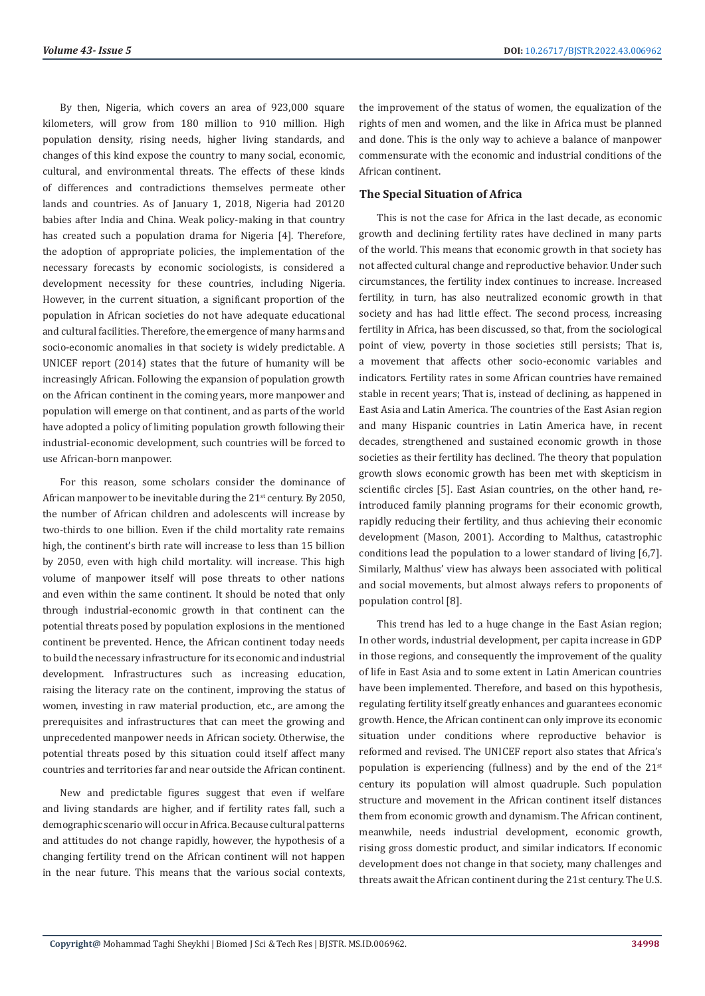By then, Nigeria, which covers an area of 923,000 square kilometers, will grow from 180 million to 910 million. High population density, rising needs, higher living standards, and changes of this kind expose the country to many social, economic, cultural, and environmental threats. The effects of these kinds of differences and contradictions themselves permeate other lands and countries. As of January 1, 2018, Nigeria had 20120 babies after India and China. Weak policy-making in that country has created such a population drama for Nigeria [4]. Therefore, the adoption of appropriate policies, the implementation of the necessary forecasts by economic sociologists, is considered a development necessity for these countries, including Nigeria. However, in the current situation, a significant proportion of the population in African societies do not have adequate educational and cultural facilities. Therefore, the emergence of many harms and socio-economic anomalies in that society is widely predictable. A UNICEF report (2014) states that the future of humanity will be increasingly African. Following the expansion of population growth on the African continent in the coming years, more manpower and population will emerge on that continent, and as parts of the world have adopted a policy of limiting population growth following their industrial-economic development, such countries will be forced to use African-born manpower.

For this reason, some scholars consider the dominance of African manpower to be inevitable during the  $21<sup>st</sup>$  century. By 2050, the number of African children and adolescents will increase by two-thirds to one billion. Even if the child mortality rate remains high, the continent's birth rate will increase to less than 15 billion by 2050, even with high child mortality. will increase. This high volume of manpower itself will pose threats to other nations and even within the same continent. It should be noted that only through industrial-economic growth in that continent can the potential threats posed by population explosions in the mentioned continent be prevented. Hence, the African continent today needs to build the necessary infrastructure for its economic and industrial development. Infrastructures such as increasing education, raising the literacy rate on the continent, improving the status of women, investing in raw material production, etc., are among the prerequisites and infrastructures that can meet the growing and unprecedented manpower needs in African society. Otherwise, the potential threats posed by this situation could itself affect many countries and territories far and near outside the African continent.

New and predictable figures suggest that even if welfare and living standards are higher, and if fertility rates fall, such a demographic scenario will occur in Africa. Because cultural patterns and attitudes do not change rapidly, however, the hypothesis of a changing fertility trend on the African continent will not happen in the near future. This means that the various social contexts,

the improvement of the status of women, the equalization of the rights of men and women, and the like in Africa must be planned and done. This is the only way to achieve a balance of manpower commensurate with the economic and industrial conditions of the African continent.

### **The Special Situation of Africa**

This is not the case for Africa in the last decade, as economic growth and declining fertility rates have declined in many parts of the world. This means that economic growth in that society has not affected cultural change and reproductive behavior. Under such circumstances, the fertility index continues to increase. Increased fertility, in turn, has also neutralized economic growth in that society and has had little effect. The second process, increasing fertility in Africa, has been discussed, so that, from the sociological point of view, poverty in those societies still persists; That is, a movement that affects other socio-economic variables and indicators. Fertility rates in some African countries have remained stable in recent years; That is, instead of declining, as happened in East Asia and Latin America. The countries of the East Asian region and many Hispanic countries in Latin America have, in recent decades, strengthened and sustained economic growth in those societies as their fertility has declined. The theory that population growth slows economic growth has been met with skepticism in scientific circles [5]. East Asian countries, on the other hand, reintroduced family planning programs for their economic growth, rapidly reducing their fertility, and thus achieving their economic development (Mason, 2001). According to Malthus, catastrophic conditions lead the population to a lower standard of living [6,7]. Similarly, Malthus' view has always been associated with political and social movements, but almost always refers to proponents of population control [8].

This trend has led to a huge change in the East Asian region; In other words, industrial development, per capita increase in GDP in those regions, and consequently the improvement of the quality of life in East Asia and to some extent in Latin American countries have been implemented. Therefore, and based on this hypothesis, regulating fertility itself greatly enhances and guarantees economic growth. Hence, the African continent can only improve its economic situation under conditions where reproductive behavior is reformed and revised. The UNICEF report also states that Africa's population is experiencing (fullness) and by the end of the  $21<sup>st</sup>$ century its population will almost quadruple. Such population structure and movement in the African continent itself distances them from economic growth and dynamism. The African continent, meanwhile, needs industrial development, economic growth, rising gross domestic product, and similar indicators. If economic development does not change in that society, many challenges and threats await the African continent during the 21st century. The U.S.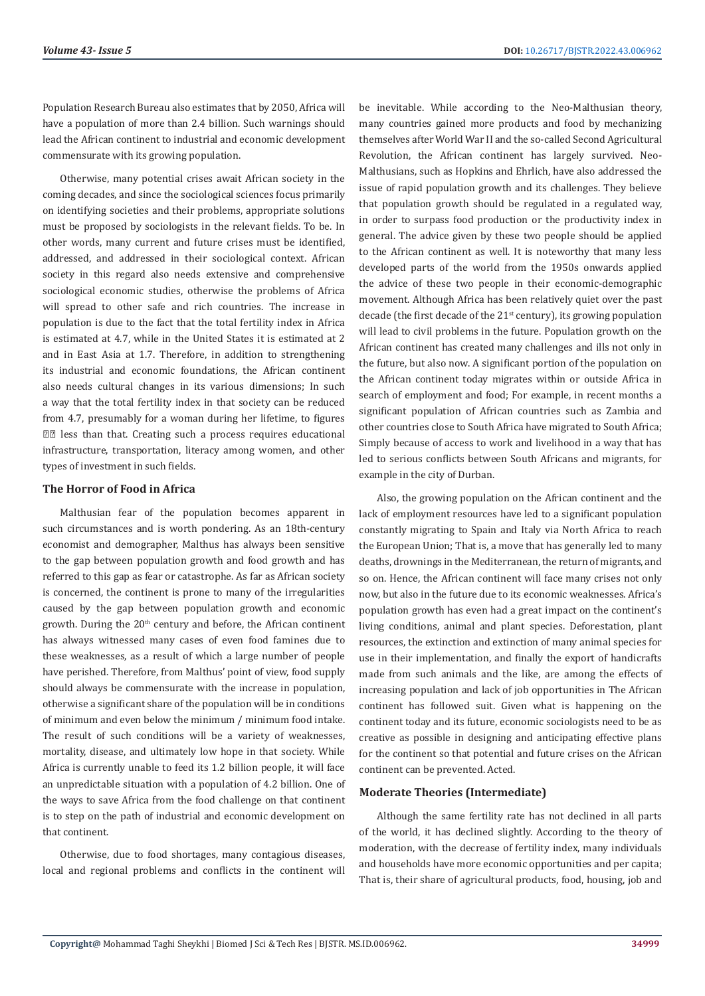Population Research Bureau also estimates that by 2050, Africa will have a population of more than 2.4 billion. Such warnings should lead the African continent to industrial and economic development commensurate with its growing population.

Otherwise, many potential crises await African society in the coming decades, and since the sociological sciences focus primarily on identifying societies and their problems, appropriate solutions must be proposed by sociologists in the relevant fields. To be. In other words, many current and future crises must be identified, addressed, and addressed in their sociological context. African society in this regard also needs extensive and comprehensive sociological economic studies, otherwise the problems of Africa will spread to other safe and rich countries. The increase in population is due to the fact that the total fertility index in Africa is estimated at 4.7, while in the United States it is estimated at 2 and in East Asia at 1.7. Therefore, in addition to strengthening its industrial and economic foundations, the African continent also needs cultural changes in its various dimensions; In such a way that the total fertility index in that society can be reduced from 4.7, presumably for a woman during her lifetime, to figures  $\mathbb{Z}$  less than that. Creating such a process requires educational infrastructure, transportation, literacy among women, and other types of investment in such fields.

#### **The Horror of Food in Africa**

Malthusian fear of the population becomes apparent in such circumstances and is worth pondering. As an 18th-century economist and demographer, Malthus has always been sensitive to the gap between population growth and food growth and has referred to this gap as fear or catastrophe. As far as African society is concerned, the continent is prone to many of the irregularities caused by the gap between population growth and economic growth. During the  $20<sup>th</sup>$  century and before, the African continent has always witnessed many cases of even food famines due to these weaknesses, as a result of which a large number of people have perished. Therefore, from Malthus' point of view, food supply should always be commensurate with the increase in population, otherwise a significant share of the population will be in conditions of minimum and even below the minimum / minimum food intake. The result of such conditions will be a variety of weaknesses, mortality, disease, and ultimately low hope in that society. While Africa is currently unable to feed its 1.2 billion people, it will face an unpredictable situation with a population of 4.2 billion. One of the ways to save Africa from the food challenge on that continent is to step on the path of industrial and economic development on that continent.

Otherwise, due to food shortages, many contagious diseases, local and regional problems and conflicts in the continent will be inevitable. While according to the Neo-Malthusian theory, many countries gained more products and food by mechanizing themselves after World War II and the so-called Second Agricultural Revolution, the African continent has largely survived. Neo-Malthusians, such as Hopkins and Ehrlich, have also addressed the issue of rapid population growth and its challenges. They believe that population growth should be regulated in a regulated way, in order to surpass food production or the productivity index in general. The advice given by these two people should be applied to the African continent as well. It is noteworthy that many less developed parts of the world from the 1950s onwards applied the advice of these two people in their economic-demographic movement. Although Africa has been relatively quiet over the past decade (the first decade of the  $21^{st}$  century), its growing population will lead to civil problems in the future. Population growth on the African continent has created many challenges and ills not only in the future, but also now. A significant portion of the population on the African continent today migrates within or outside Africa in search of employment and food; For example, in recent months a significant population of African countries such as Zambia and other countries close to South Africa have migrated to South Africa; Simply because of access to work and livelihood in a way that has led to serious conflicts between South Africans and migrants, for example in the city of Durban.

Also, the growing population on the African continent and the lack of employment resources have led to a significant population constantly migrating to Spain and Italy via North Africa to reach the European Union; That is, a move that has generally led to many deaths, drownings in the Mediterranean, the return of migrants, and so on. Hence, the African continent will face many crises not only now, but also in the future due to its economic weaknesses. Africa's population growth has even had a great impact on the continent's living conditions, animal and plant species. Deforestation, plant resources, the extinction and extinction of many animal species for use in their implementation, and finally the export of handicrafts made from such animals and the like, are among the effects of increasing population and lack of job opportunities in The African continent has followed suit. Given what is happening on the continent today and its future, economic sociologists need to be as creative as possible in designing and anticipating effective plans for the continent so that potential and future crises on the African continent can be prevented. Acted.

#### **Moderate Theories (Intermediate)**

Although the same fertility rate has not declined in all parts of the world, it has declined slightly. According to the theory of moderation, with the decrease of fertility index, many individuals and households have more economic opportunities and per capita; That is, their share of agricultural products, food, housing, job and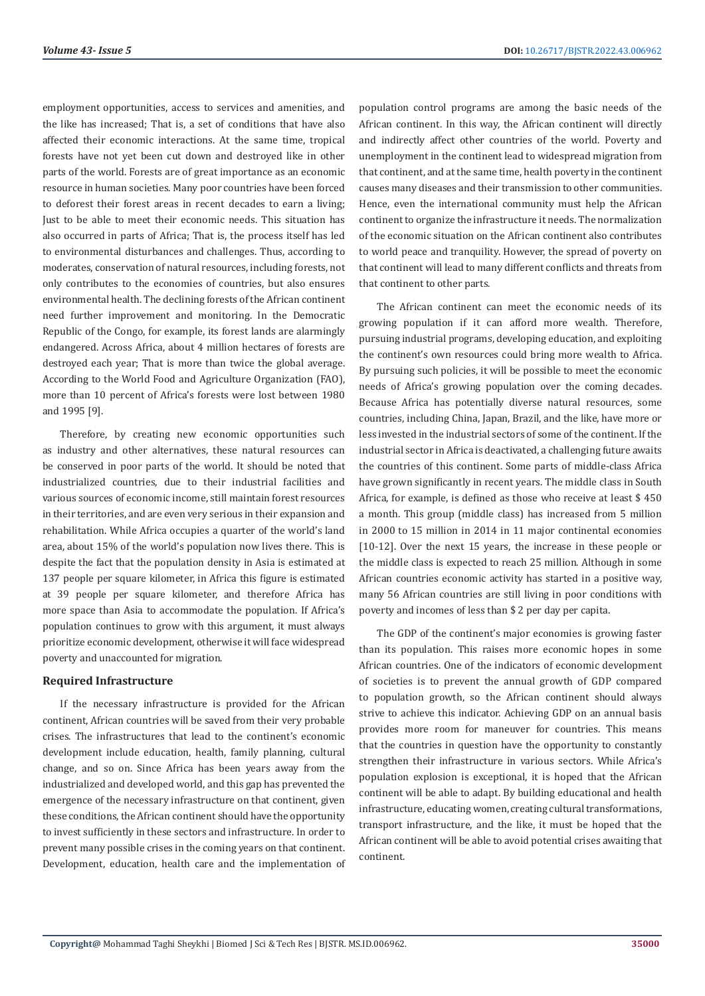employment opportunities, access to services and amenities, and the like has increased; That is, a set of conditions that have also affected their economic interactions. At the same time, tropical forests have not yet been cut down and destroyed like in other parts of the world. Forests are of great importance as an economic resource in human societies. Many poor countries have been forced to deforest their forest areas in recent decades to earn a living; Just to be able to meet their economic needs. This situation has also occurred in parts of Africa; That is, the process itself has led to environmental disturbances and challenges. Thus, according to moderates, conservation of natural resources, including forests, not only contributes to the economies of countries, but also ensures environmental health. The declining forests of the African continent need further improvement and monitoring. In the Democratic Republic of the Congo, for example, its forest lands are alarmingly endangered. Across Africa, about 4 million hectares of forests are destroyed each year; That is more than twice the global average. According to the World Food and Agriculture Organization (FAO), more than 10 percent of Africa's forests were lost between 1980 and 1995 [9].

Therefore, by creating new economic opportunities such as industry and other alternatives, these natural resources can be conserved in poor parts of the world. It should be noted that industrialized countries, due to their industrial facilities and various sources of economic income, still maintain forest resources in their territories, and are even very serious in their expansion and rehabilitation. While Africa occupies a quarter of the world's land area, about 15% of the world's population now lives there. This is despite the fact that the population density in Asia is estimated at 137 people per square kilometer, in Africa this figure is estimated at 39 people per square kilometer, and therefore Africa has more space than Asia to accommodate the population. If Africa's population continues to grow with this argument, it must always prioritize economic development, otherwise it will face widespread poverty and unaccounted for migration.

#### **Required Infrastructure**

If the necessary infrastructure is provided for the African continent, African countries will be saved from their very probable crises. The infrastructures that lead to the continent's economic development include education, health, family planning, cultural change, and so on. Since Africa has been years away from the industrialized and developed world, and this gap has prevented the emergence of the necessary infrastructure on that continent, given these conditions, the African continent should have the opportunity to invest sufficiently in these sectors and infrastructure. In order to prevent many possible crises in the coming years on that continent. Development, education, health care and the implementation of population control programs are among the basic needs of the African continent. In this way, the African continent will directly and indirectly affect other countries of the world. Poverty and unemployment in the continent lead to widespread migration from that continent, and at the same time, health poverty in the continent causes many diseases and their transmission to other communities. Hence, even the international community must help the African continent to organize the infrastructure it needs. The normalization of the economic situation on the African continent also contributes to world peace and tranquility. However, the spread of poverty on that continent will lead to many different conflicts and threats from that continent to other parts.

The African continent can meet the economic needs of its growing population if it can afford more wealth. Therefore, pursuing industrial programs, developing education, and exploiting the continent's own resources could bring more wealth to Africa. By pursuing such policies, it will be possible to meet the economic needs of Africa's growing population over the coming decades. Because Africa has potentially diverse natural resources, some countries, including China, Japan, Brazil, and the like, have more or less invested in the industrial sectors of some of the continent. If the industrial sector in Africa is deactivated, a challenging future awaits the countries of this continent. Some parts of middle-class Africa have grown significantly in recent years. The middle class in South Africa, for example, is defined as those who receive at least \$ 450 a month. This group (middle class) has increased from 5 million in 2000 to 15 million in 2014 in 11 major continental economies [10-12]. Over the next 15 years, the increase in these people or the middle class is expected to reach 25 million. Although in some African countries economic activity has started in a positive way, many 56 African countries are still living in poor conditions with poverty and incomes of less than \$ 2 per day per capita.

The GDP of the continent's major economies is growing faster than its population. This raises more economic hopes in some African countries. One of the indicators of economic development of societies is to prevent the annual growth of GDP compared to population growth, so the African continent should always strive to achieve this indicator. Achieving GDP on an annual basis provides more room for maneuver for countries. This means that the countries in question have the opportunity to constantly strengthen their infrastructure in various sectors. While Africa's population explosion is exceptional, it is hoped that the African continent will be able to adapt. By building educational and health infrastructure, educating women, creating cultural transformations, transport infrastructure, and the like, it must be hoped that the African continent will be able to avoid potential crises awaiting that continent.